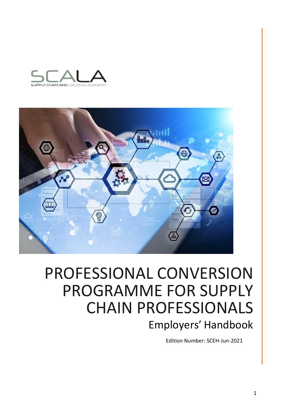



# PROFESSIONAL CONVERSION PROGRAMME FOR SUPPLY CHAIN PROFESSIONALS Employers' Handbook

Edition Number: SCEH-Jun-2021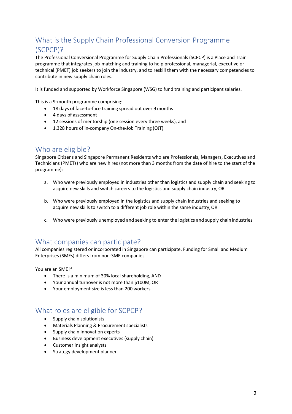# What is the Supply Chain Professional Conversion Programme (SCPCP)?

The Professional Conversional Programme for Supply Chain Professionals (SCPCP) is a Place and Train programme that integrates job-matching and training to help professional, managerial, executive or technical (PMET) job seekers to join the industry, and to reskill them with the necessary competencies to contribute in new supply chain roles.

It is funded and supported by Workforce Singapore (WSG) to fund training and participant salaries.

This is a 9-month programme comprising:

- 18 days of face-to-face training spread out over 9 months
- 4 days of assessment
- 12 sessions of mentorship (one session every three weeks), and
- 1,328 hours of in-company On-the-Job Training (OJT)

### Who are eligible?

Singapore Citizens and Singapore Permanent Residents who are Professionals, Managers, Executives and Technicians (PMETs) who are new hires (not more than 3 months from the date of hire to the start of the programme):

- a. Who were previously employed in industries other than logistics and supply chain and seeking to acquire new skills and switch careers to the logistics and supply chain industry, OR
- b. Who were previously employed in the logistics and supply chain industries and seeking to acquire new skills to switch to a different job role within the same industry, OR
- c. Who were previously unemployed and seeking to enter the logistics and supply chainindustries

### What companies can participate?

All companies registered or incorporated in Singapore can participate. Funding for Small and Medium Enterprises (SMEs) differs from non-SME companies.

You are an SME if

- There is a minimum of 30% local shareholding, AND
- Your annual turnover is not more than \$100M, OR
- Your employment size is less than 200 workers

### What roles are eligible for SCPCP?

- Supply chain solutionists
- Materials Planning & Procurement specialists
- Supply chain innovation experts
- Business development executives (supply chain)
- Customer insight analysts
- Strategy development planner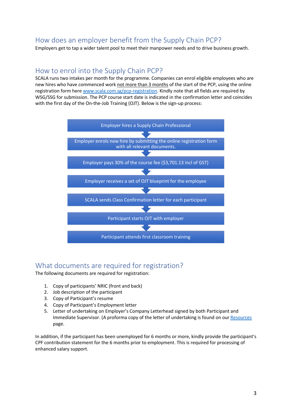# How does an employer benefit from the Supply Chain PCP?

Employers get to tap a wider talent pool to meet their manpower needs and to drive business growth.

### How to enrol into the Supply Chain PCP?

SCALA runs two intakes per month for the programme. Companies can enrol eligible employees who are new hires who have commenced work not more than 3 months of the start of the PCP, using the online registration form here [www.scala.com.sg/pcp-registration.](http://www.scala.com.sg/pcp-registration) Kindly note that all fields are required by WSG/SSG for submission. The PCP course start date is indicated in the confirmation letter and coincides with the first day of the On-the-Job Training (OJT). Below is the sign-up process:



# What documents are required for registration?

The following documents are required for registration:

- 1. Copy of participants' NRIC (front and back)
- 2. Job description of the participant
- 3. Copy of Participant's resume
- 4. Copy of Participant's Employment letter
- 5. Letter of undertaking on Employer's Company Letterhead signed by both Participant and Immediate Supervisor. (A proforma copy of the letter of undertaking is found on our [Resources](http://www.scala.com.sg/resources) page.

In addition, if the participant has been unemployed for 6 months or more, kindly provide the participant's CPF contribution statement for the 6 months prior to employment. This is required for processing of enhanced salary support.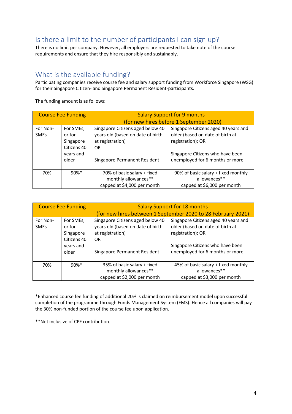# Is there a limit to the number of participants I can sign up?

There is no limit per company. However, all employers are requested to take note of the course requirements and ensure that they hire responsibly and sustainably.

### What is the available funding?

Participating companies receive course fee and salary support funding from Workforce Singapore (WSG) for their Singapore Citizen- and Singapore Permanent Resident-participants.

The funding amount is as follows:

| <b>Course Fee Funding</b> |                                                                       | <b>Salary Support for 9 months</b>                                                                                                     |                                                                                                                                                                      |  |
|---------------------------|-----------------------------------------------------------------------|----------------------------------------------------------------------------------------------------------------------------------------|----------------------------------------------------------------------------------------------------------------------------------------------------------------------|--|
|                           |                                                                       | (for new hires before 1 September 2020)                                                                                                |                                                                                                                                                                      |  |
| For Non-<br><b>SMEs</b>   | For SMEs,<br>or for<br>Singapore<br>Citizens 40<br>years and<br>older | Singapore Citizens aged below 40<br>years old (based on date of birth<br>at registration)<br><b>OR</b><br>Singapore Permanent Resident | Singapore Citizens aged 40 years and<br>older (based on date of birth at<br>registration); OR<br>Singapore Citizens who have been<br>unemployed for 6 months or more |  |
| 70%                       | $90\%*$                                                               | 70% of basic salary + fixed<br>monthly allowances**<br>capped at \$4,000 per month                                                     | 90% of basic salary + fixed monthly<br>allowances**<br>capped at \$6,000 per month                                                                                   |  |

| <b>Course Fee Funding</b> |                                                                       | <b>Salary Support for 18 months</b><br>(for new hires between 1 September 2020 to 28 February 2021)                                    |                                                                                                                                                                      |  |
|---------------------------|-----------------------------------------------------------------------|----------------------------------------------------------------------------------------------------------------------------------------|----------------------------------------------------------------------------------------------------------------------------------------------------------------------|--|
| For Non-<br><b>SMEs</b>   | For SMEs,<br>or for<br>Singapore<br>Citizens 40<br>years and<br>older | Singapore Citizens aged below 40<br>years old (based on date of birth<br>at registration)<br><b>OR</b><br>Singapore Permanent Resident | Singapore Citizens aged 40 years and<br>older (based on date of birth at<br>registration); OR<br>Singapore Citizens who have been<br>unemployed for 6 months or more |  |
| 70%                       | $90%$ *                                                               | 35% of basic salary + fixed<br>monthly allowances**<br>capped at \$2,000 per month                                                     | 45% of basic salary + fixed monthly<br>allowances**<br>capped at \$3,000 per month                                                                                   |  |

\*Enhanced course fee funding of additional 20% is claimed on reimbursement model upon successful completion of the programme through Funds Management System (FMS). Hence all companies will pay the 30% non-funded portion of the course fee upon application.

\*\*Not inclusive of CPF contribution.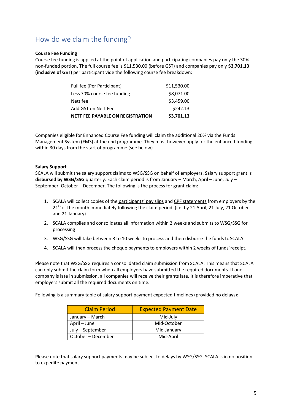# How do we claim the funding?

#### **Course Fee Funding**

Course fee funding is applied at the point of application and participating companies pay only the 30% non-funded portion. The full course fee is \$11,530.00 (before GST) and companies pay only **\$3,701.13 (inclusive of GST)** per participant vide the following course fee breakdown:

| <b>NETT FEE PAYABLE ON REGISTRATION</b> | \$3,701.13  |
|-----------------------------------------|-------------|
| Add GST on Nett Fee                     | \$242.13    |
| Nett fee                                | \$3,459.00  |
| Less 70% course fee funding             | \$8,071.00  |
| Full fee (Per Participant)              | \$11,530.00 |

Companies eligible for Enhanced Course Fee funding will claim the additional 20% via the Funds Management System (FMS) at the end programme. They must however apply for the enhanced funding within 30 days from the start of programme (see below).

#### **Salary Support**

SCALA will submit the salary support claims to WSG/SSG on behalf of employers. Salary support grant is **disbursed by WSG/SSG** quarterly. Each claim period is from January – March, April – June, July – September, October – December. The following is the process for grant claim:

- 1. SCALA will collect copies of the participants' pay slips and CPF statements from employers by the 21<sup>st</sup> of the month immediately following the claim period. (i.e. by 21 April, 21 July, 21 October and 21 January)
- 2. SCALA compiles and consolidates all information within 2 weeks and submits to WSG/SSG for processing
- 3. WSG/SSG will take between 8 to 10 weeks to process and then disburse the funds to SCALA.
- 4. SCALA will then process the cheque payments to employers within 2 weeks of funds'receipt.

Please note that WSG/SSG requires a consolidated claim submission from SCALA. This means that SCALA can only submit the claim form when all employers have submitted the required documents. If one company is late in submission, all companies will receive their grants late. It is therefore imperative that employers submit all the required documents on time.

Following is a summary table of salary support payment expected timelines (provided no delays):

| <b>Claim Period</b> | <b>Expected Payment Date</b> |
|---------------------|------------------------------|
| January – March     | Mid-July                     |
| April - June        | Mid-October                  |
| July - September    | Mid-January                  |
| October – December  | Mid-April                    |

Please note that salary support payments may be subject to delays by WSG/SSG. SCALA is in no position to expedite payment.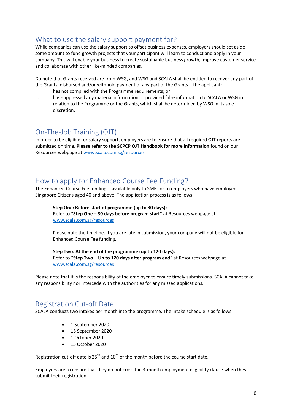# What to use the salary support payment for?

While companies can use the salary support to offset business expenses, employers should set aside some amount to fund growth projects that your participant will learn to conduct and apply in your company. This will enable your business to create sustainable business growth, improve customer service and collaborate with other like-minded companies.

Do note that Grants received are from WSG, and WSG and SCALA shall be entitled to recover any part of the Grants, disbursed and/or withhold payment of any part of the Grants if the applicant:

- i. has not complied with the Programme requirements; or
- ii. has suppressed any material information or provided false information to SCALA or WSG in relation to the Programme or the Grants, which shall be determined by WSG in its sole discretion.

# On-The-Job Training (OJT)

In order to be eligible for salary support, employers are to ensure that all required OJT reports are submitted on time. **Please refer to the SCPCP OJT Handbook for more information** found on our Resources webpage at [www.scala.com.sg/resources](http://www.scala.com.sg/resources)

# How to apply for Enhanced Course Fee Funding?

The Enhanced Course Fee funding is available only to SMEs or to employers who have employed Singapore Citizens aged 40 and above. The application process is as follows:

#### **Step One: Before start of programme (up to 30 days):**

Refer to "**Step One – 30 days before program start**" at Resources webpage at [www.scala.com.sg/resources](http://www.scala.com.sg/resources)

Please note the timeline. If you are late in submission, your company will not be eligible for Enhanced Course Fee funding.

#### **Step Two: At the end of the programme (up to 120 days):**

Refer to "**Step Two – Up to 120 days after program end**" at Resources webpage at [www.scala.com.sg/resources](http://www.scala.com.sg/resources)

Please note that it is the responsibility of the employer to ensure timely submissions. SCALA cannot take any responsibility nor intercede with the authorities for any missed applications.

# Registration Cut-off Date

SCALA conducts two intakes per month into the programme. The intake schedule is as follows:

- 1 September 2020
- 15 September 2020
- 1 October 2020
- 15 October 2020

Registration cut-off date is  $25<sup>th</sup>$  and  $10<sup>th</sup>$  of the month before the course start date.

Employers are to ensure that they do not cross the 3-month employment eligibility clause when they submit their registration.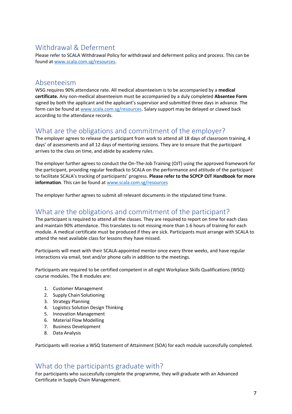# Withdrawal & Deferment

Please refer to SCALA Withdrawal Policy for withdrawal and deferment policy and process. This can be found a[t www.scala.com.sg/resources.](http://www.scala.com.sg/resources)

### Absenteeism

WSG requires 90% attendance rate. All medical absenteeism is to be accompanied by a **medical certificate.** Any non-medical absenteeism must be accompanied by a duly completed **Absentee Form**  signed by both the applicant and the applicant's supervisor and submitted three days in advance. The form can be found at [www.scala.com.sg/resources.](http://www.scala.com.sg/resources) Salary support may be delayed or clawed back according to the attendance records.

# What are the obligations and commitment of the employer?

The employer agrees to release the participant from work to attend all 18 days of classroom training, 4 days' of assessments and all 12 days of mentoring sessions. They are to ensure that the participant arrives to the class on time, and abide by academy rules.

The employer further agrees to conduct the On-The-Job Training (OJT) using the approved framework for the participant, providing regular feedback to SCALA on the performance and attitude of the participant to facilitate SCALA's tracking of participants' progress. **Please refer to the SCPCP OJT Handbook for more information**. This can be found a[t www.scala.com.sg/resources](http://www.scala.com.sg/resources)

The employer further agrees to submit all relevant documents in the stipulated time frame.

# What are the obligations and commitment of the participant?

The participant is required to attend all the classes. They are required to report on time for each class and maintain 90% attendance. This translates to not missing more than 1.6 hours of training for each module. A medical certificate must be produced if they are sick. Participants must arrange with SCALA to attend the next available class for lessons they have missed.

Participants will meet with their SCALA-appointed mentor once every three weeks, and have regular interactions via email, text and/or phone calls in addition to the meetings.

Participants are required to be certified competent in all eight Workplace Skills Qualifications (WSQ) course modules. The 8 modules are:

- 1. Customer Management
- 2. Supply Chain Solutioning
- 3. Strategy Planning
- 4. Logistics Solution Design Thinking
- 5. Innovation Management
- 6. Material Flow Modelling
- 7. Business Development
- 8. Data Analysis

Participants will receive a WSQ Statement of Attainment (SOA) for each module successfully completed.

### What do the participants graduate with?

For participants who successfully complete the programme, they will graduate with an Advanced Certificate in Supply Chain Management.